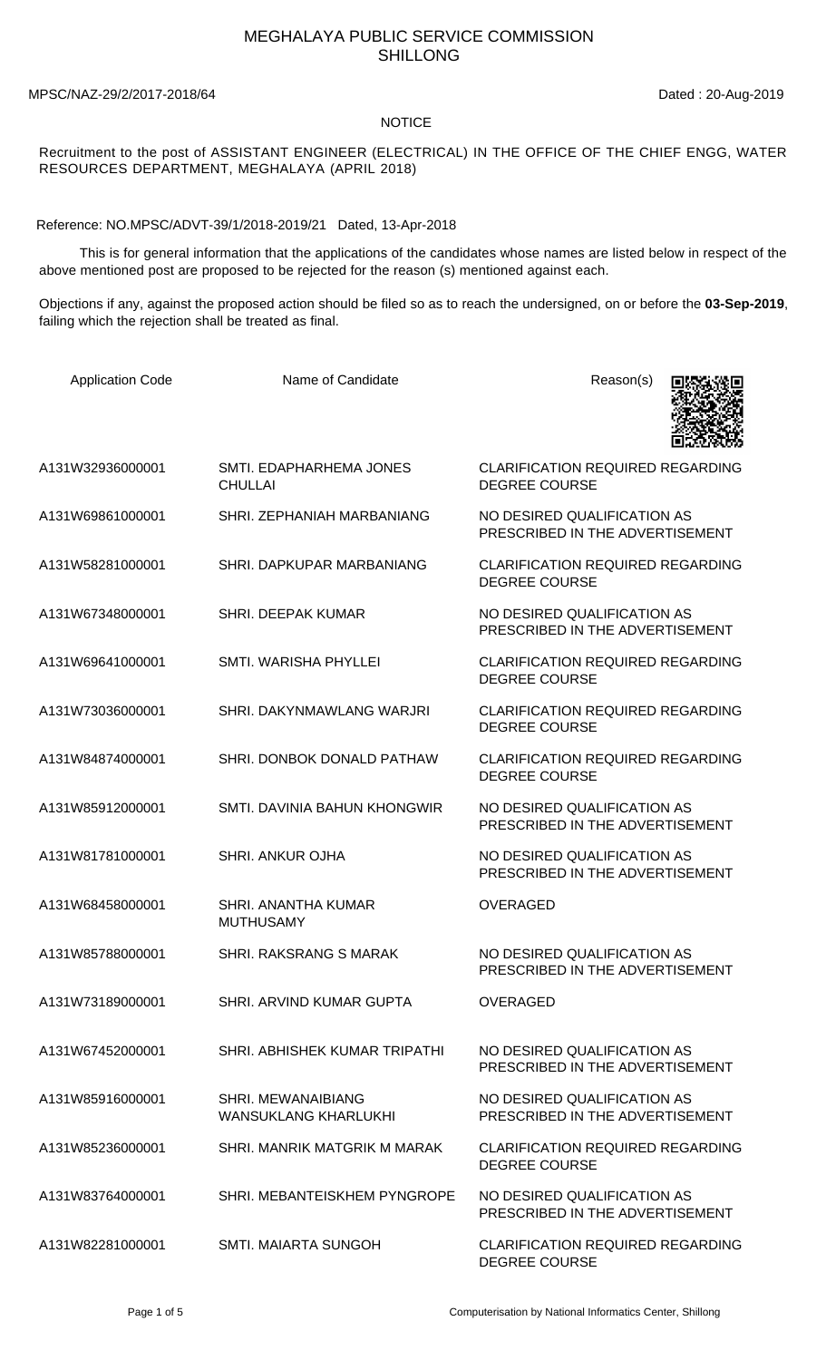## MEGHALAYA PUBLIC SERVICE COMMISSION SHILLONG

MPSC/NAZ-29/2/2017-2018/64 Dated : 20-Aug-2019

## NOTICE

Recruitment to the post of ASSISTANT ENGINEER (ELECTRICAL) IN THE OFFICE OF THE CHIEF ENGG, WATER RESOURCES DEPARTMENT, MEGHALAYA (APRIL 2018)

Reference: NO.MPSC/ADVT-39/1/2018-2019/21 Dated, 13-Apr-2018

 This is for general information that the applications of the candidates whose names are listed below in respect of the above mentioned post are proposed to be rejected for the reason (s) mentioned against each.

Objections if any, against the proposed action should be filed so as to reach the undersigned, on or before the **03-Sep-2019**, failing which the rejection shall be treated as final.

| <b>Application Code</b> | Name of Candidate                                        | Reason(s)                                                       |
|-------------------------|----------------------------------------------------------|-----------------------------------------------------------------|
| A131W32936000001        | SMTI. EDAPHARHEMA JONES<br><b>CHULLAI</b>                | <b>CLARIFICATION REQUIRED REGARDING</b><br><b>DEGREE COURSE</b> |
| A131W69861000001        | SHRI. ZEPHANIAH MARBANIANG                               | NO DESIRED QUALIFICATION AS<br>PRESCRIBED IN THE ADVERTISEMENT  |
| A131W58281000001        | SHRI. DAPKUPAR MARBANIANG                                | <b>CLARIFICATION REQUIRED REGARDING</b><br><b>DEGREE COURSE</b> |
| A131W67348000001        | SHRI. DEEPAK KUMAR                                       | NO DESIRED QUALIFICATION AS<br>PRESCRIBED IN THE ADVERTISEMENT  |
| A131W69641000001        | SMTI. WARISHA PHYLLEI                                    | <b>CLARIFICATION REQUIRED REGARDING</b><br><b>DEGREE COURSE</b> |
| A131W73036000001        | SHRI. DAKYNMAWLANG WARJRI                                | <b>CLARIFICATION REQUIRED REGARDING</b><br><b>DEGREE COURSE</b> |
| A131W84874000001        | SHRI. DONBOK DONALD PATHAW                               | <b>CLARIFICATION REQUIRED REGARDING</b><br><b>DEGREE COURSE</b> |
| A131W85912000001        | SMTI. DAVINIA BAHUN KHONGWIR                             | NO DESIRED QUALIFICATION AS<br>PRESCRIBED IN THE ADVERTISEMENT  |
| A131W81781000001        | <b>SHRI. ANKUR OJHA</b>                                  | NO DESIRED QUALIFICATION AS<br>PRESCRIBED IN THE ADVERTISEMENT  |
| A131W68458000001        | <b>SHRI, ANANTHA KUMAR</b><br><b>MUTHUSAMY</b>           | <b>OVERAGED</b>                                                 |
| A131W85788000001        | <b>SHRI. RAKSRANG S MARAK</b>                            | NO DESIRED QUALIFICATION AS<br>PRESCRIBED IN THE ADVERTISEMENT  |
| A131W73189000001        | SHRI. ARVIND KUMAR GUPTA                                 | <b>OVERAGED</b>                                                 |
| A131W67452000001        | SHRI. ABHISHEK KUMAR TRIPATHI                            | NO DESIRED QUALIFICATION AS<br>PRESCRIBED IN THE ADVERTISEMENT  |
| A131W85916000001        | <b>SHRI. MEWANAIBIANG</b><br><b>WANSUKLANG KHARLUKHI</b> | NO DESIRED QUALIFICATION AS<br>PRESCRIBED IN THE ADVERTISEMENT  |
| A131W85236000001        | SHRI. MANRIK MATGRIK M MARAK                             | <b>CLARIFICATION REQUIRED REGARDING</b><br><b>DEGREE COURSE</b> |
| A131W83764000001        | SHRI. MEBANTEISKHEM PYNGROPE                             | NO DESIRED QUALIFICATION AS<br>PRESCRIBED IN THE ADVERTISEMENT  |
| A131W82281000001        | <b>SMTI. MAIARTA SUNGOH</b>                              | <b>CLARIFICATION REQUIRED REGARDING</b><br><b>DEGREE COURSE</b> |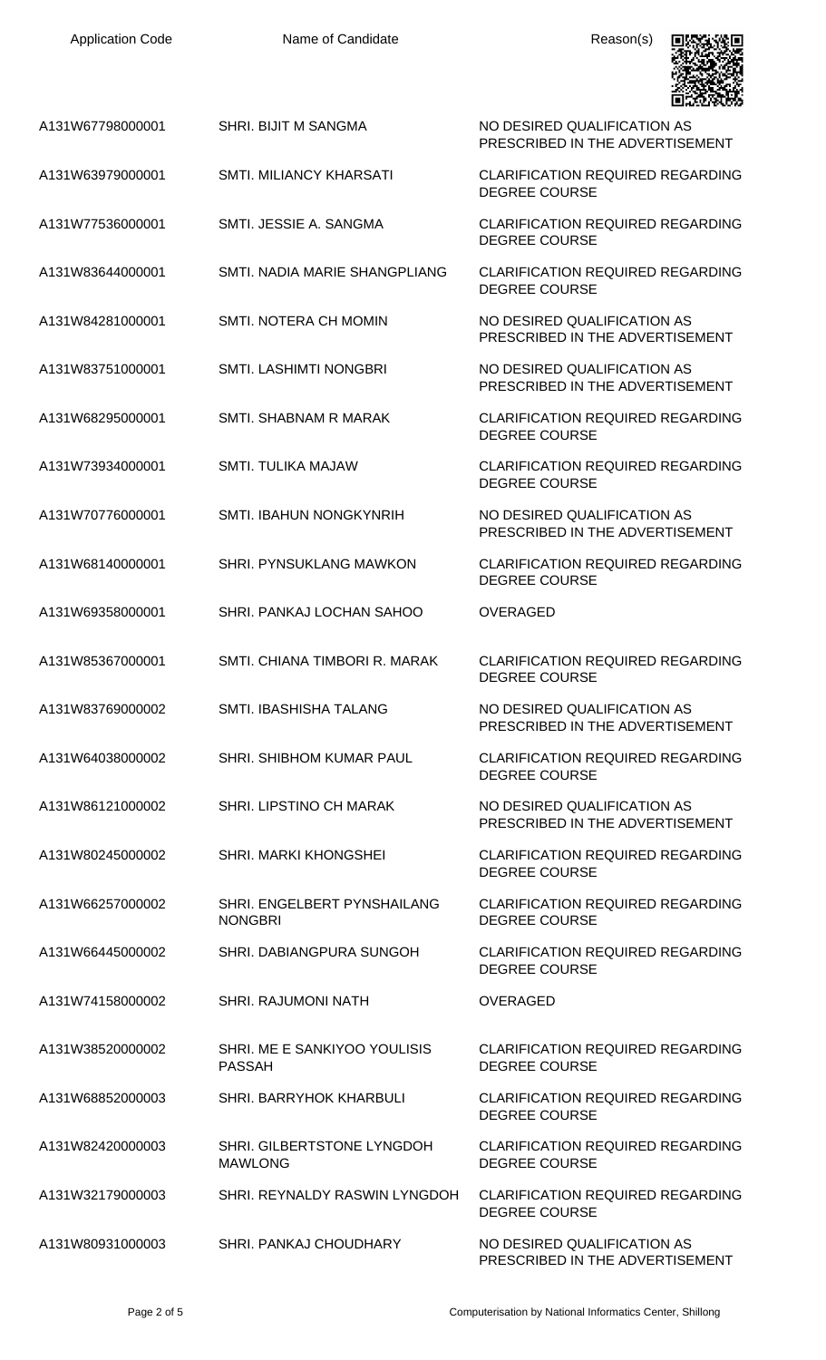| <b>Application Code</b> | Name of Candidate                             | Reason(s)                                                       |
|-------------------------|-----------------------------------------------|-----------------------------------------------------------------|
| A131W67798000001        | SHRI. BIJIT M SANGMA                          | NO DESIRED QUALIFICATION AS<br>PRESCRIBED IN THE ADVERTISEMENT  |
| A131W63979000001        | <b>SMTI. MILIANCY KHARSATI</b>                | <b>CLARIFICATION REQUIRED REGARDING</b><br><b>DEGREE COURSE</b> |
| A131W77536000001        | SMTI. JESSIE A. SANGMA                        | <b>CLARIFICATION REQUIRED REGARDING</b><br><b>DEGREE COURSE</b> |
| A131W83644000001        | SMTI. NADIA MARIE SHANGPLIANG                 | <b>CLARIFICATION REQUIRED REGARDING</b><br><b>DEGREE COURSE</b> |
| A131W84281000001        | SMTI. NOTERA CH MOMIN                         | NO DESIRED QUALIFICATION AS<br>PRESCRIBED IN THE ADVERTISEMENT  |
| A131W83751000001        | <b>SMTI. LASHIMTI NONGBRI</b>                 | NO DESIRED QUALIFICATION AS<br>PRESCRIBED IN THE ADVERTISEMENT  |
| A131W68295000001        | SMTI. SHABNAM R MARAK                         | <b>CLARIFICATION REQUIRED REGARDING</b><br><b>DEGREE COURSE</b> |
| A131W73934000001        | <b>SMTI. TULIKA MAJAW</b>                     | <b>CLARIFICATION REQUIRED REGARDING</b><br><b>DEGREE COURSE</b> |
| A131W70776000001        | SMTI. IBAHUN NONGKYNRIH                       | NO DESIRED QUALIFICATION AS<br>PRESCRIBED IN THE ADVERTISEMENT  |
| A131W68140000001        | <b>SHRI. PYNSUKLANG MAWKON</b>                | <b>CLARIFICATION REQUIRED REGARDING</b><br><b>DEGREE COURSE</b> |
| A131W69358000001        | SHRI. PANKAJ LOCHAN SAHOO                     | <b>OVERAGED</b>                                                 |
| A131W85367000001        | SMTI. CHIANA TIMBORI R. MARAK                 | <b>CLARIFICATION REQUIRED REGARDING</b><br><b>DEGREE COURSE</b> |
| A131W83769000002        | SMTI. IBASHISHA TALANG                        | NO DESIRED QUALIFICATION AS<br>PRESCRIBED IN THE ADVERTISEMENT  |
| A131W64038000002        | SHRI. SHIBHOM KUMAR PAUL                      | <b>CLARIFICATION REQUIRED REGARDING</b><br><b>DEGREE COURSE</b> |
| A131W86121000002        | SHRI. LIPSTINO CH MARAK                       | NO DESIRED QUALIFICATION AS<br>PRESCRIBED IN THE ADVERTISEMENT  |
| A131W80245000002        | SHRI. MARKI KHONGSHEI                         | <b>CLARIFICATION REQUIRED REGARDING</b><br><b>DEGREE COURSE</b> |
| A131W66257000002        | SHRI. ENGELBERT PYNSHAILANG<br><b>NONGBRI</b> | <b>CLARIFICATION REQUIRED REGARDING</b><br><b>DEGREE COURSE</b> |
| A131W66445000002        | SHRI. DABIANGPURA SUNGOH                      | <b>CLARIFICATION REQUIRED REGARDING</b><br><b>DEGREE COURSE</b> |
| A131W74158000002        | <b>SHRI. RAJUMONI NATH</b>                    | <b>OVERAGED</b>                                                 |
| A131W38520000002        | SHRI. ME E SANKIYOO YOULISIS<br><b>PASSAH</b> | <b>CLARIFICATION REQUIRED REGARDING</b><br><b>DEGREE COURSE</b> |
| A131W68852000003        | <b>SHRI. BARRYHOK KHARBULI</b>                | <b>CLARIFICATION REQUIRED REGARDING</b><br><b>DEGREE COURSE</b> |
| A131W82420000003        | SHRI. GILBERTSTONE LYNGDOH<br><b>MAWLONG</b>  | <b>CLARIFICATION REQUIRED REGARDING</b><br><b>DEGREE COURSE</b> |
| A131W32179000003        | SHRI. REYNALDY RASWIN LYNGDOH                 | <b>CLARIFICATION REQUIRED REGARDING</b><br><b>DEGREE COURSE</b> |
| A131W80931000003        | SHRI. PANKAJ CHOUDHARY                        | NO DESIRED QUALIFICATION AS<br>PRESCRIBED IN THE ADVERTISEMENT  |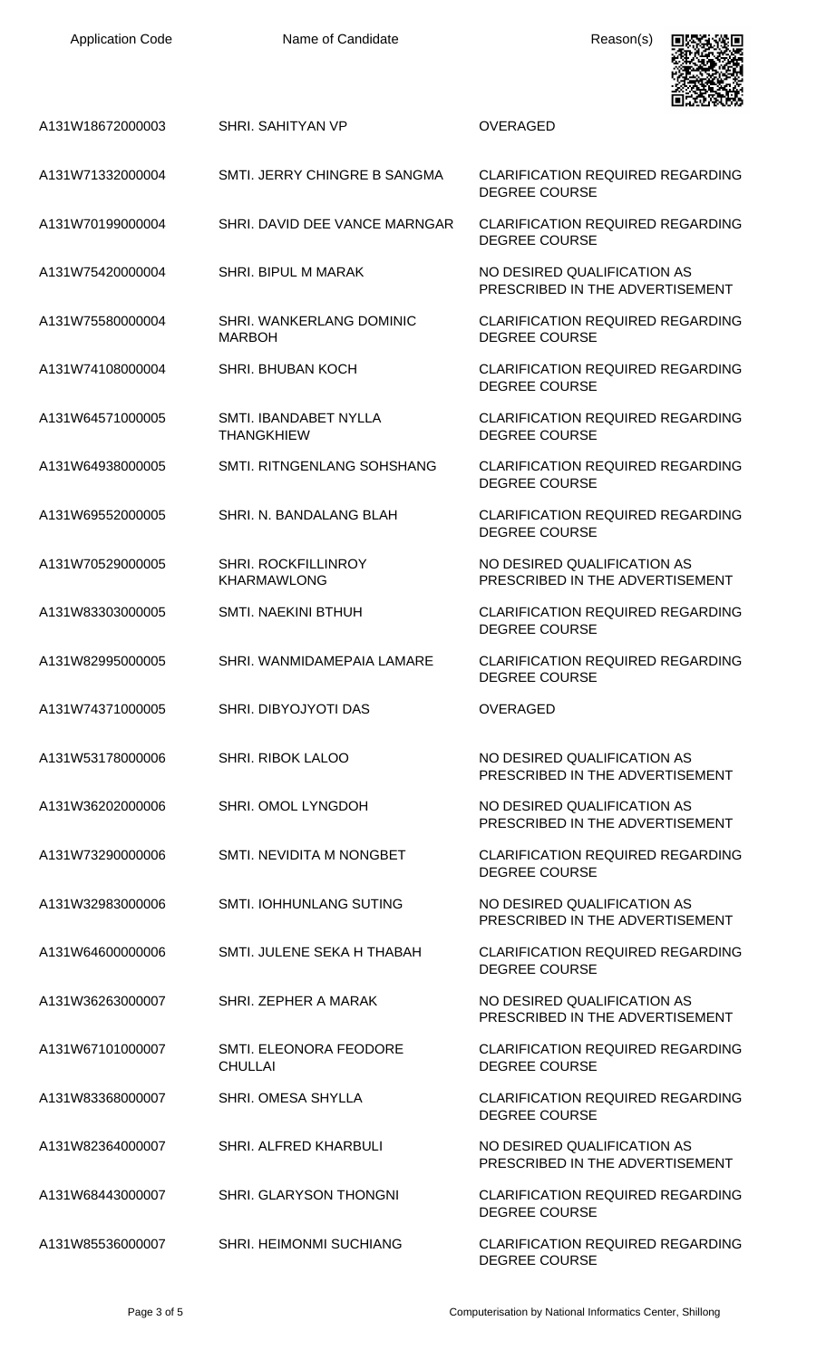

| A131W18672000003 | SHRI. SAHITYAN VP                          | <b>OVERAGED</b>                                                 |
|------------------|--------------------------------------------|-----------------------------------------------------------------|
| A131W71332000004 | SMTI. JERRY CHINGRE B SANGMA               | <b>CLARIFICATION REQUIRED REGARDING</b><br><b>DEGREE COURSE</b> |
| A131W70199000004 | SHRI. DAVID DEE VANCE MARNGAR              | <b>CLARIFICATION REQUIRED REGARDING</b><br><b>DEGREE COURSE</b> |
| A131W75420000004 | SHRI. BIPUL M MARAK                        | NO DESIRED QUALIFICATION AS<br>PRESCRIBED IN THE ADVERTISEMENT  |
| A131W75580000004 | SHRI. WANKERLANG DOMINIC<br><b>MARBOH</b>  | <b>CLARIFICATION REQUIRED REGARDING</b><br><b>DEGREE COURSE</b> |
| A131W74108000004 | <b>SHRI. BHUBAN KOCH</b>                   | <b>CLARIFICATION REQUIRED REGARDING</b><br><b>DEGREE COURSE</b> |
| A131W64571000005 | SMTI. IBANDABET NYLLA<br><b>THANGKHIEW</b> | <b>CLARIFICATION REQUIRED REGARDING</b><br><b>DEGREE COURSE</b> |
| A131W64938000005 | SMTI. RITNGENLANG SOHSHANG                 | <b>CLARIFICATION REQUIRED REGARDING</b><br><b>DEGREE COURSE</b> |
| A131W69552000005 | SHRI. N. BANDALANG BLAH                    | <b>CLARIFICATION REQUIRED REGARDING</b><br><b>DEGREE COURSE</b> |
| A131W70529000005 | SHRI. ROCKFILLINROY<br><b>KHARMAWLONG</b>  | NO DESIRED QUALIFICATION AS<br>PRESCRIBED IN THE ADVERTISEMENT  |
| A131W83303000005 | <b>SMTI. NAEKINI BTHUH</b>                 | <b>CLARIFICATION REQUIRED REGARDING</b><br><b>DEGREE COURSE</b> |
| A131W82995000005 | SHRI. WANMIDAMEPAIA LAMARE                 | <b>CLARIFICATION REQUIRED REGARDING</b><br><b>DEGREE COURSE</b> |
|                  |                                            |                                                                 |
| A131W74371000005 | SHRI. DIBYOJYOTI DAS                       | <b>OVERAGED</b>                                                 |
| A131W53178000006 | <b>SHRI. RIBOK LALOO</b>                   | NO DESIRED QUALIFICATION AS<br>PRESCRIBED IN THE ADVERTISEMENT  |
| A131W36202000006 | SHRI. OMOL LYNGDOH                         | NO DESIRED QUALIFICATION AS<br>PRESCRIBED IN THE ADVERTISEMENT  |
| A131W73290000006 | SMTI. NEVIDITA M NONGBET                   | <b>CLARIFICATION REQUIRED REGARDING</b><br><b>DEGREE COURSE</b> |
| A131W32983000006 | <b>SMTI. IOHHUNLANG SUTING</b>             | NO DESIRED QUALIFICATION AS<br>PRESCRIBED IN THE ADVERTISEMENT  |
| A131W64600000006 | SMTI. JULENE SEKA H THABAH                 | <b>CLARIFICATION REQUIRED REGARDING</b><br><b>DEGREE COURSE</b> |
| A131W36263000007 | SHRI. ZEPHER A MARAK                       | NO DESIRED QUALIFICATION AS<br>PRESCRIBED IN THE ADVERTISEMENT  |
| A131W67101000007 | SMTI. ELEONORA FEODORE<br><b>CHULLAI</b>   | <b>CLARIFICATION REQUIRED REGARDING</b><br><b>DEGREE COURSE</b> |
| A131W83368000007 | <b>SHRI. OMESA SHYLLA</b>                  | <b>CLARIFICATION REQUIRED REGARDING</b><br><b>DEGREE COURSE</b> |
| A131W82364000007 | SHRI. ALFRED KHARBULI                      | NO DESIRED QUALIFICATION AS<br>PRESCRIBED IN THE ADVERTISEMENT  |
| A131W68443000007 | SHRI. GLARYSON THONGNI                     | <b>CLARIFICATION REQUIRED REGARDING</b><br><b>DEGREE COURSE</b> |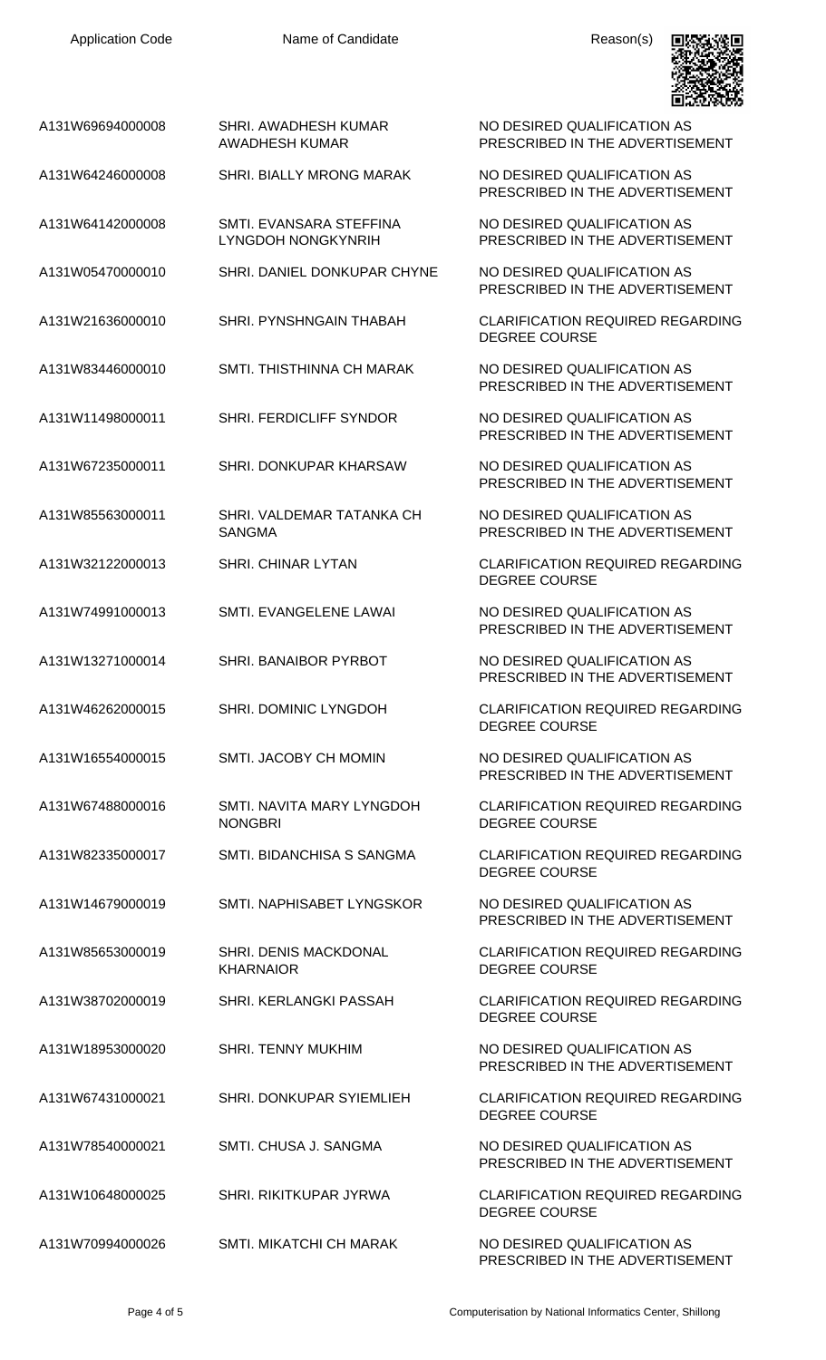

A131W69694000008 SHRI. AWADHESH KUMAR AWADHESH KUMAR

A131W64246000008 SHRI. BIALLY MRONG MARAK NO DESIRED QUALIFICATION AS

A131W64142000008 SMTI. EVANSARA STEFFINA LYNGDOH NONGKYNRIH

A131W05470000010 SHRI. DANIEL DONKUPAR CHYNE NO DESIRED QUALIFICATION AS

A131W21636000010 SHRI. PYNSHNGAIN THABAH CLARIFICATION REQUIRED REGARDING

A131W83446000010 SMTI. THISTHINNA CH MARAK NO DESIRED QUALIFICATION AS

A131W11498000011 SHRI. FERDICLIFF SYNDOR NO DESIRED QUALIFICATION AS

A131W67235000011 SHRI. DONKUPAR KHARSAW NO DESIRED QUALIFICATION AS

A131W85563000011 SHRI. VALDEMAR TATANKA CH SANGMA

A131W32122000013 SHRI. CHINAR LYTAN CLARIFICATION REQUIRED REGARDING

A131W74991000013 SMTI. EVANGELENE LAWAI NO DESIRED QUALIFICATION AS

A131W13271000014 SHRI. BANAIBOR PYRBOT NO DESIRED QUALIFICATION AS

A131W46262000015 SHRI. DOMINIC LYNGDOH CLARIFICATION REQUIRED REGARDING

A131W16554000015 SMTI. JACOBY CH MOMIN NO DESIRED QUALIFICATION AS

A131W67488000016 SMTI. NAVITA MARY LYNGDOH NONGBRI

A131W82335000017 SMTI. BIDANCHISA S SANGMA CLARIFICATION REQUIRED REGARDING

A131W85653000019 SHRI. DENIS MACKDONAL KHARNAIOR

A131W38702000019 SHRI. KERLANGKI PASSAH CLARIFICATION REQUIRED REGARDING

A131W18953000020 SHRI. TENNY MUKHIM NO DESIRED QUALIFICATION AS

A131W67431000021 SHRI. DONKUPAR SYIEMLIEH CLARIFICATION REQUIRED REGARDING

A131W78540000021 SMTI. CHUSA J. SANGMA NO DESIRED QUALIFICATION AS

A131W10648000025 SHRI. RIKITKUPAR JYRWA CLARIFICATION REQUIRED REGARDING

A131W70994000026 SMTI. MIKATCHI CH MARAK NO DESIRED QUALIFICATION AS

NO DESIRED QUALIFICATION AS PRESCRIBED IN THE ADVERTISEMENT

PRESCRIBED IN THE ADVERTISEMENT

NO DESIRED QUALIFICATION AS PRESCRIBED IN THE ADVERTISEMENT

PRESCRIBED IN THE ADVERTISEMENT

DEGREE COURSE

PRESCRIBED IN THE ADVERTISEMENT

PRESCRIBED IN THE ADVERTISEMENT

PRESCRIBED IN THE ADVERTISEMENT

NO DESIRED QUALIFICATION AS PRESCRIBED IN THE ADVERTISEMENT

DEGREE COURSE

PRESCRIBED IN THE ADVERTISEMENT

PRESCRIBED IN THE ADVERTISEMENT

DEGREE COURSE

PRESCRIBED IN THE ADVERTISEMENT

CLARIFICATION REQUIRED REGARDING DEGREE COURSE

DEGREE COURSE

A131W14679000019 SMTI. NAPHISABET LYNGSKOR NO DESIRED QUALIFICATION AS PRESCRIBED IN THE ADVERTISEMENT

> CLARIFICATION REQUIRED REGARDING DEGREE COURSE

> DEGREE COURSE

PRESCRIBED IN THE ADVERTISEMENT

DEGREE COURSE

PRESCRIBED IN THE ADVERTISEMENT

DEGREE COURSE

PRESCRIBED IN THE ADVERTISEMENT